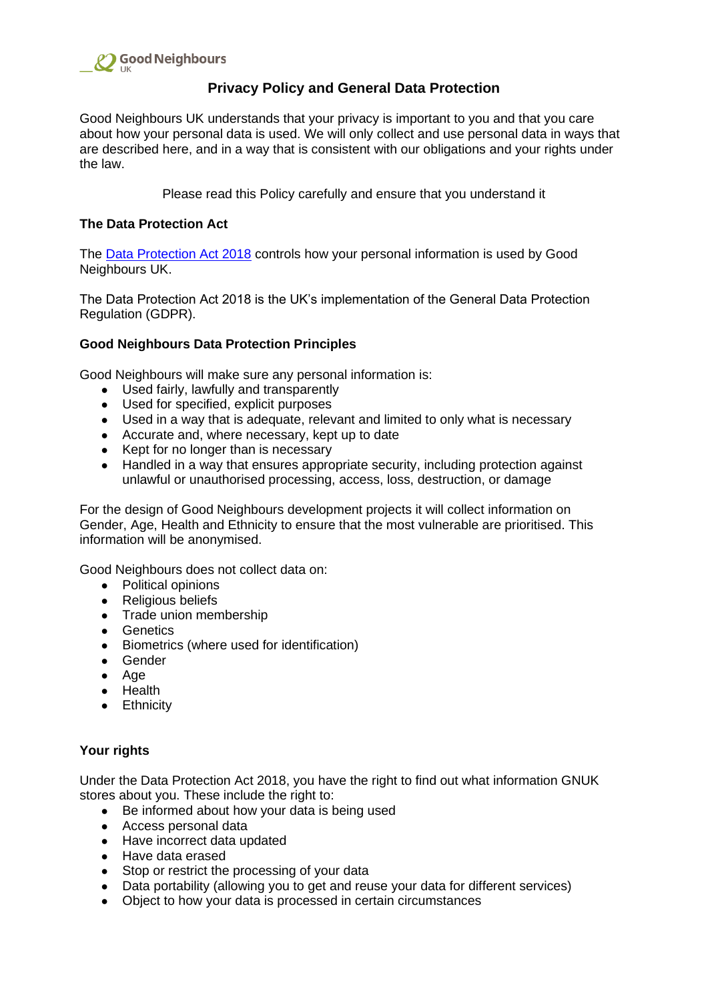

# **Privacy Policy and General Data Protection**

Good Neighbours UK understands that your privacy is important to you and that you care about how your personal data is used. We will only collect and use personal data in ways that are described here, and in a way that is consistent with our obligations and your rights under the law.

Please read this Policy carefully and ensure that you understand it

# **The Data Protection Act**

The [Data Protection Act 2018](http://www.legislation.gov.uk/ukpga/2018/12/contents/enacted) controls how your personal information is used by Good Neighbours UK.

The Data Protection Act 2018 is the UK's implementation of the General Data Protection Regulation (GDPR).

# **Good Neighbours Data Protection Principles**

Good Neighbours will make sure any personal information is:

- Used fairly, lawfully and transparently
- Used for specified, explicit purposes
- Used in a way that is adequate, relevant and limited to only what is necessary
- Accurate and, where necessary, kept up to date
- Kept for no longer than is necessary
- Handled in a way that ensures appropriate security, including protection against unlawful or unauthorised processing, access, loss, destruction, or damage

For the design of Good Neighbours development projects it will collect information on Gender, Age, Health and Ethnicity to ensure that the most vulnerable are prioritised. This information will be anonymised.

Good Neighbours does not collect data on:

- Political opinions
- Religious beliefs
- Trade union membership
- Genetics
- Biometrics (where used for identification)
- Gender
- Age
- Health
- Ethnicity

# **Your rights**

Under the Data Protection Act 2018, you have the right to find out what information GNUK stores about you. These include the right to:

- Be informed about how your data is being used
- Access personal data
- Have incorrect data updated
- Have data erased
- Stop or restrict the processing of your data
- Data portability (allowing you to get and reuse your data for different services)
- Object to how your data is processed in certain circumstances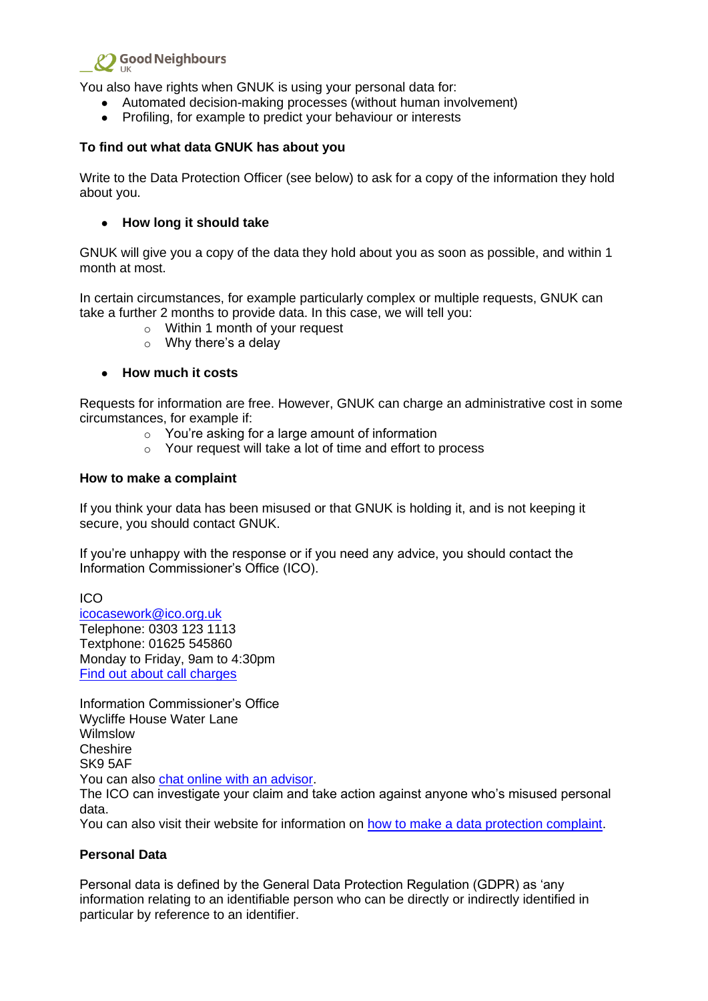

You also have rights when GNUK is using your personal data for:

- Automated decision-making processes (without human involvement)
- Profiling, for example to predict your behaviour or interests

### **To find out what data GNUK has about you**

Write to the Data Protection Officer (see below) to ask for a copy of the information they hold about you.

### ● **How long it should take**

GNUK will give you a copy of the data they hold about you as soon as possible, and within 1 month at most.

In certain circumstances, for example particularly complex or multiple requests, GNUK can take a further 2 months to provide data. In this case, we will tell you:

- o Within 1 month of your request
- $\circ$  Why there's a delay

#### ● **How much it costs**

Requests for information are free. However, GNUK can charge an administrative cost in some circumstances, for example if:

- o You're asking for a large amount of information
- o Your request will take a lot of time and effort to process

#### **How to make a complaint**

If you think your data has been misused or that GNUK is holding it, and is not keeping it secure, you should contact GNUK.

If you're unhappy with the response or if you need any advice, you should contact the Information Commissioner's Office (ICO).

ICO [icocasework@ico.org.uk](mailto:icocasework@ico.org.uk) Telephone: 0303 123 1113 Textphone: 01625 545860 Monday to Friday, 9am to 4:30pm [Find out about call charges](https://www.gov.uk/call-charges)

Information Commissioner's Office Wycliffe House Water Lane Wilmslow **Cheshire** SK9 5AF You can also [chat online with an advisor.](https://ico.org.uk/global/contact-us/live-chat/)

The ICO can investigate your claim and take action against anyone who's misused personal data.

You can also visit their website for information on [how to make a data protection complaint.](https://ico.org.uk/make-a-complaint)

#### **Personal Data**

Personal data is defined by the General Data Protection Regulation (GDPR) as 'any information relating to an identifiable person who can be directly or indirectly identified in particular by reference to an identifier.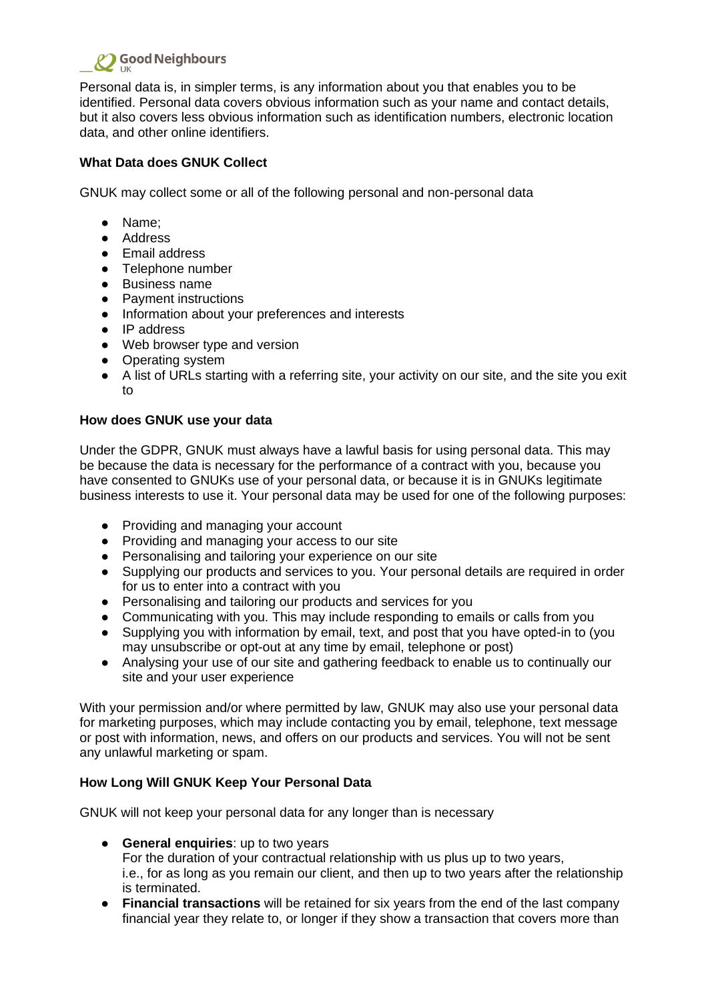

Personal data is, in simpler terms, is any information about you that enables you to be identified. Personal data covers obvious information such as your name and contact details, but it also covers less obvious information such as identification numbers, electronic location data, and other online identifiers.

# **What Data does GNUK Collect**

GNUK may collect some or all of the following personal and non-personal data

- Name;
- Address
- Email address
- Telephone number
- Business name
- Payment instructions
- Information about your preferences and interests
- IP address
- Web browser type and version
- Operating system
- A list of URLs starting with a referring site, your activity on our site, and the site you exit to

# **How does GNUK use your data**

Under the GDPR, GNUK must always have a lawful basis for using personal data. This may be because the data is necessary for the performance of a contract with you, because you have consented to GNUKs use of your personal data, or because it is in GNUKs legitimate business interests to use it. Your personal data may be used for one of the following purposes:

- Providing and managing your account
- Providing and managing your access to our site
- Personalising and tailoring your experience on our site
- Supplying our products and services to you. Your personal details are required in order for us to enter into a contract with you
- Personalising and tailoring our products and services for you
- Communicating with you. This may include responding to emails or calls from you
- Supplying you with information by email, text, and post that you have opted-in to (you may unsubscribe or opt-out at any time by email, telephone or post)
- Analysing your use of our site and gathering feedback to enable us to continually our site and your user experience

With your permission and/or where permitted by law, GNUK may also use your personal data for marketing purposes, which may include contacting you by email, telephone, text message or post with information, news, and offers on our products and services. You will not be sent any unlawful marketing or spam.

# **How Long Will GNUK Keep Your Personal Data**

GNUK will not keep your personal data for any longer than is necessary

- **General enquiries**: up to two years For the duration of your contractual relationship with us plus up to two years, i.e., for as long as you remain our client, and then up to two years after the relationship is terminated.
- **Financial transactions** will be retained for six years from the end of the last company financial year they relate to, or longer if they show a transaction that covers more than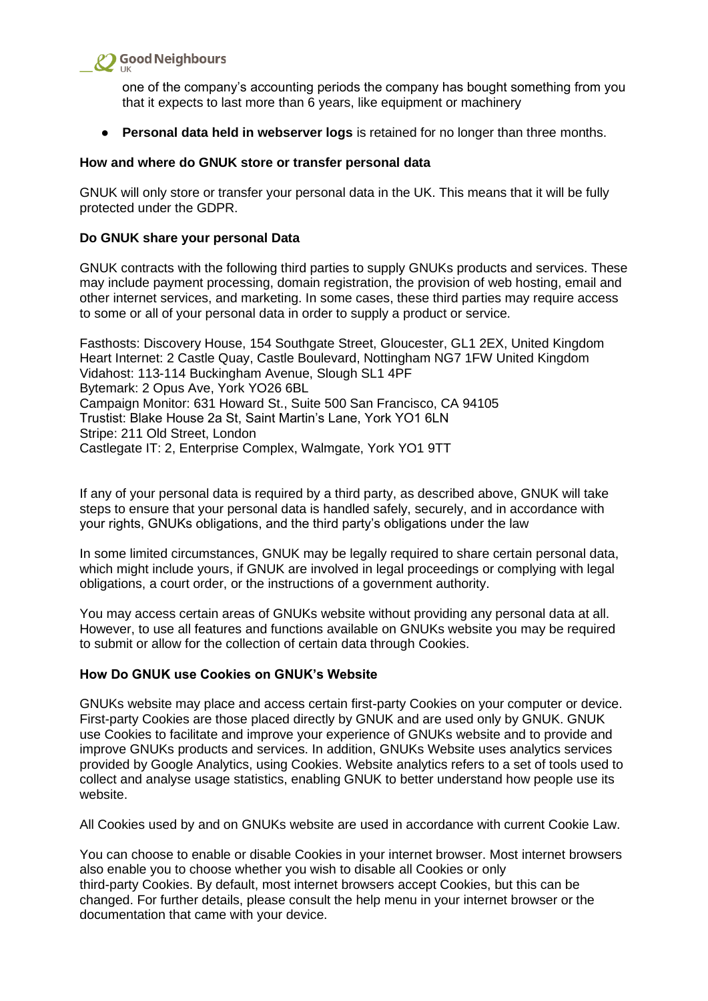

one of the company's accounting periods the company has bought something from you that it expects to last more than 6 years, like equipment or machinery

**• Personal data held in webserver logs** is retained for no longer than three months.

#### **How and where do GNUK store or transfer personal data**

GNUK will only store or transfer your personal data in the UK. This means that it will be fully protected under the GDPR.

#### **Do GNUK share your personal Data**

GNUK contracts with the following third parties to supply GNUKs products and services. These may include payment processing, domain registration, the provision of web hosting, email and other internet services, and marketing. In some cases, these third parties may require access to some or all of your personal data in order to supply a product or service.

Fasthosts: Discovery House, 154 Southgate Street, Gloucester, GL1 2EX, United Kingdom Heart Internet: 2 Castle Quay, Castle Boulevard, Nottingham NG7 1FW United Kingdom Vidahost: 113-114 Buckingham Avenue, Slough SL1 4PF Bytemark: 2 Opus Ave, York YO26 6BL Campaign Monitor: 631 Howard St., Suite 500 San Francisco, CA 94105 Trustist: Blake House 2a St, Saint Martin's Lane, York YO1 6LN Stripe: 211 Old Street, London Castlegate IT: 2, Enterprise Complex, Walmgate, York YO1 9TT

If any of your personal data is required by a third party, as described above, GNUK will take steps to ensure that your personal data is handled safely, securely, and in accordance with your rights, GNUKs obligations, and the third party's obligations under the law

In some limited circumstances, GNUK may be legally required to share certain personal data, which might include yours, if GNUK are involved in legal proceedings or complying with legal obligations, a court order, or the instructions of a government authority.

You may access certain areas of GNUKs website without providing any personal data at all. However, to use all features and functions available on GNUKs website you may be required to submit or allow for the collection of certain data through Cookies.

#### **How Do GNUK use Cookies on GNUK's Website**

GNUKs website may place and access certain first-party Cookies on your computer or device. First-party Cookies are those placed directly by GNUK and are used only by GNUK. GNUK use Cookies to facilitate and improve your experience of GNUKs website and to provide and improve GNUKs products and services. In addition, GNUKs Website uses analytics services provided by Google Analytics, using Cookies. Website analytics refers to a set of tools used to collect and analyse usage statistics, enabling GNUK to better understand how people use its website.

All Cookies used by and on GNUKs website are used in accordance with current Cookie Law.

You can choose to enable or disable Cookies in your internet browser. Most internet browsers also enable you to choose whether you wish to disable all Cookies or only third-party Cookies. By default, most internet browsers accept Cookies, but this can be changed. For further details, please consult the help menu in your internet browser or the documentation that came with your device.